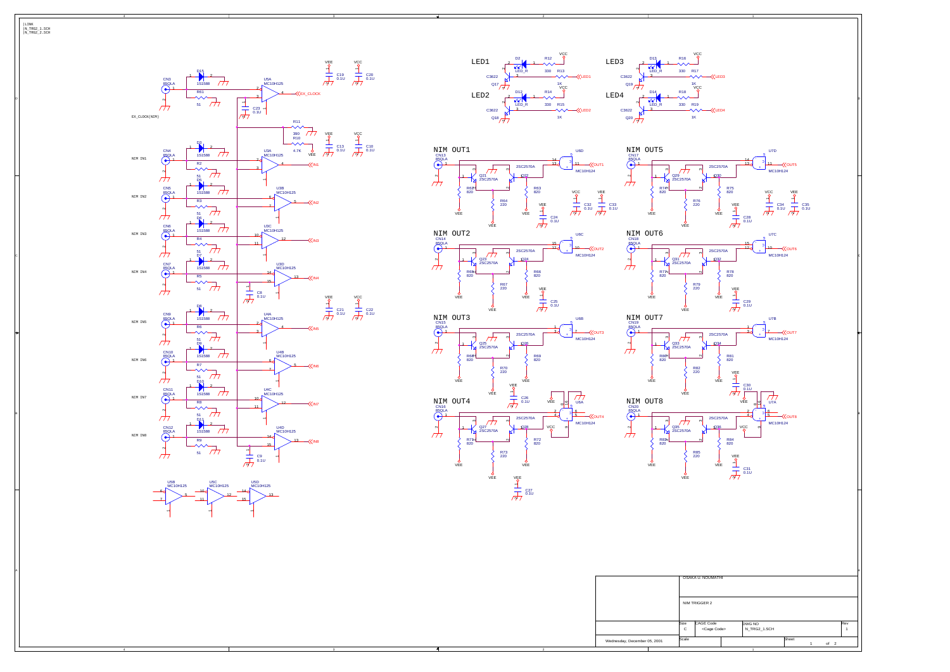4

4

3

3

2

2

1

|LINK |N\_TRG2\_1.SCH |N\_TRG2\_2.SCH

|                              |       | OSAKA U. NOUMATHI     |  |
|------------------------------|-------|-----------------------|--|
|                              |       | NIM TRIGGER 2         |  |
|                              | Size  | CAGE Code             |  |
|                              | C     | <cage code=""></cage> |  |
| Wednesday, December 05, 2001 | Scale |                       |  |
|                              |       |                       |  |

VEE

VEE

VEE

VEE

R76 220

 $\scriptstyle\sim$  $\frac{1}{2}$ 

Q31 2SC2570A 1

R77 820

R79 220



Q33 2SC2570A

N <u>ي</u><br>كا

1

R80 820

R82 220

 $^{\circ}$  $\frac{1}{2}$ 

Q35 2SC2570A

่  $\geq$ 

1

 $\scriptstyle\sim$  $\frac{1}{2}$ 

R83 820

R85 220

 $\scriptstyle\sim$ 2<br>2<br>2







C10 0.1U

C20 0.1U

C22 0.1U



Q29 2SC2570A

 $\overline{\tau}$ 

N  $\sum_{2}$ 

1

R74 820

> N <u>ي</u><br>كا